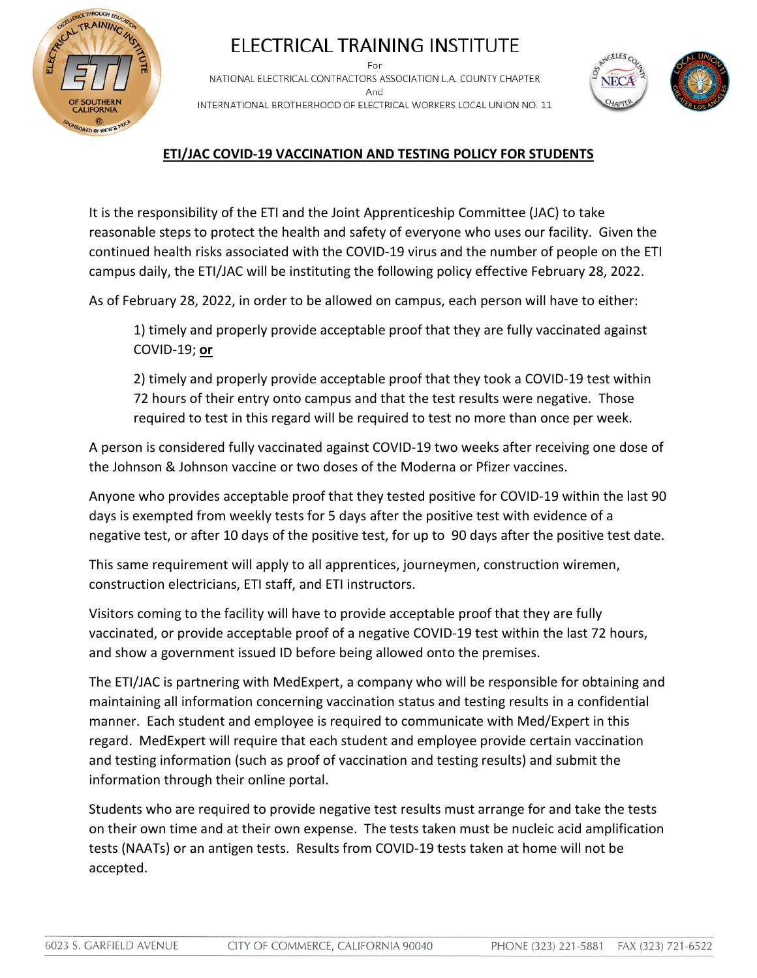

## ELECTRICAL TRAINING INSTITUTE NATIONAL ELECTRICAL CONTRACTORS ASSOCIATION L.A. COUNTY CHAPTER

And INTERNATIONAL BROTHERHOOD OF ELECTRICAL WORKERS LOCAL UNION NO. 11



## **ETI/JAC COVID-19 VACCINATION AND TESTING POLICY FOR STUDENTS**

It is the responsibility of the ETI and the Joint Apprenticeship Committee (JAC) to take reasonable steps to protect the health and safety of everyone who uses our facility. Given the continued health risks associated with the COVID-19 virus and the number of people on the ETI campus daily, the ETI/JAC will be instituting the following policy effective February 28, 2022.

As of February 28, 2022, in order to be allowed on campus, each person will have to either:

1) timely and properly provide acceptable proof that they are fully vaccinated against COVID-19; **or**

2) timely and properly provide acceptable proof that they took a COVID-19 test within 72 hours of their entry onto campus and that the test results were negative. Those required to test in this regard will be required to test no more than once per week.

A person is considered fully vaccinated against COVID-19 two weeks after receiving one dose of the Johnson & Johnson vaccine or two doses of the Moderna or Pfizer vaccines.

Anyone who provides acceptable proof that they tested positive for COVID-19 within the last 90 days is exempted from weekly tests for 5 days after the positive test with evidence of a negative test, or after 10 days of the positive test, for up to 90 days after the positive test date.

This same requirement will apply to all apprentices, journeymen, construction wiremen, construction electricians, ETI staff, and ETI instructors.

Visitors coming to the facility will have to provide acceptable proof that they are fully vaccinated, or provide acceptable proof of a negative COVID-19 test within the last 72 hours, and show a government issued ID before being allowed onto the premises.

The ETI/JAC is partnering with MedExpert, a company who will be responsible for obtaining and maintaining all information concerning vaccination status and testing results in a confidential manner. Each student and employee is required to communicate with Med/Expert in this regard. MedExpert will require that each student and employee provide certain vaccination and testing information (such as proof of vaccination and testing results) and submit the information through their online portal.

Students who are required to provide negative test results must arrange for and take the tests on their own time and at their own expense. The tests taken must be nucleic acid amplification tests (NAATs) or an antigen tests. Results from COVID-19 tests taken at home will not be accepted.